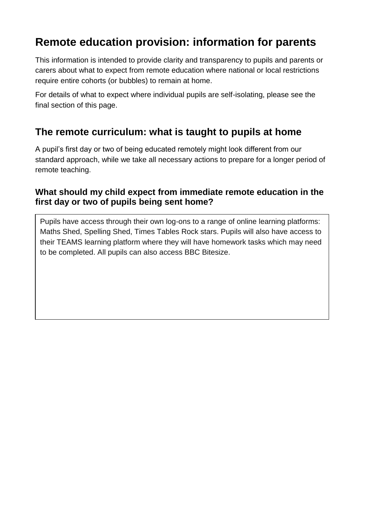# **Remote education provision: information for parents**

This information is intended to provide clarity and transparency to pupils and parents or carers about what to expect from remote education where national or local restrictions require entire cohorts (or bubbles) to remain at home.

For details of what to expect where individual pupils are self-isolating, please see the final section of this page.

## **The remote curriculum: what is taught to pupils at home**

A pupil's first day or two of being educated remotely might look different from our standard approach, while we take all necessary actions to prepare for a longer period of remote teaching.

#### **What should my child expect from immediate remote education in the first day or two of pupils being sent home?**

Pupils have access through their own log-ons to a range of online learning platforms: Maths Shed, Spelling Shed, Times Tables Rock stars. Pupils will also have access to their TEAMS learning platform where they will have homework tasks which may need to be completed. All pupils can also access BBC Bitesize.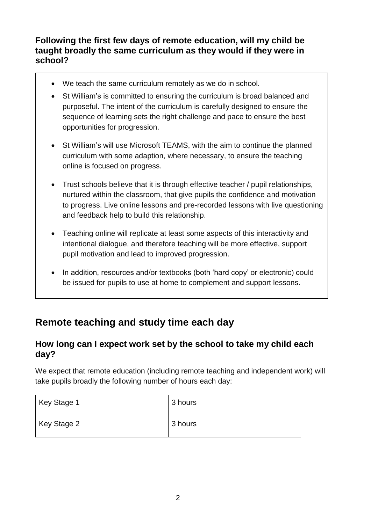### **Following the first few days of remote education, will my child be taught broadly the same curriculum as they would if they were in school?**

- We teach the same curriculum remotely as we do in school.
- St William's is committed to ensuring the curriculum is broad balanced and purposeful. The intent of the curriculum is carefully designed to ensure the sequence of learning sets the right challenge and pace to ensure the best opportunities for progression.
- St William's will use Microsoft TEAMS, with the aim to continue the planned curriculum with some adaption, where necessary, to ensure the teaching online is focused on progress.
- Trust schools believe that it is through effective teacher / pupil relationships, nurtured within the classroom, that give pupils the confidence and motivation to progress. Live online lessons and pre-recorded lessons with live questioning and feedback help to build this relationship.
- Teaching online will replicate at least some aspects of this interactivity and intentional dialogue, and therefore teaching will be more effective, support pupil motivation and lead to improved progression.
- In addition, resources and/or textbooks (both 'hard copy' or electronic) could be issued for pupils to use at home to complement and support lessons.

# **Remote teaching and study time each day**

#### **How long can I expect work set by the school to take my child each day?**

We expect that remote education (including remote teaching and independent work) will take pupils broadly the following number of hours each day:

| Key Stage 1 | 3 hours |
|-------------|---------|
| Key Stage 2 | 3 hours |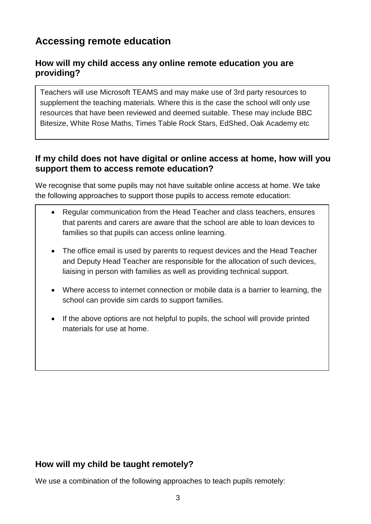# **Accessing remote education**

### **How will my child access any online remote education you are providing?**

Teachers will use Microsoft TEAMS and may make use of 3rd party resources to supplement the teaching materials. Where this is the case the school will only use resources that have been reviewed and deemed suitable. These may include BBC Bitesize, White Rose Maths, Times Table Rock Stars, EdShed, Oak Academy etc

### **If my child does not have digital or online access at home, how will you support them to access remote education?**

We recognise that some pupils may not have suitable online access at home. We take the following approaches to support those pupils to access remote education:

- Regular communication from the Head Teacher and class teachers, ensures that parents and carers are aware that the school are able to loan devices to families so that pupils can access online learning.
- The office email is used by parents to request devices and the Head Teacher and Deputy Head Teacher are responsible for the allocation of such devices, liaising in person with families as well as providing technical support.
- Where access to internet connection or mobile data is a barrier to learning, the school can provide sim cards to support families.
- If the above options are not helpful to pupils, the school will provide printed materials for use at home.

## **How will my child be taught remotely?**

We use a combination of the following approaches to teach pupils remotely: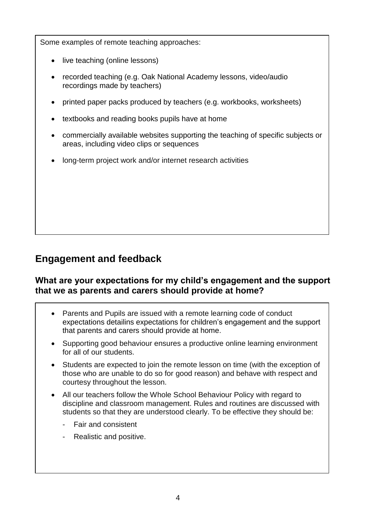Some examples of remote teaching approaches:

- live teaching (online lessons)
- recorded teaching (e.g. Oak National Academy lessons, video/audio recordings made by teachers)
- printed paper packs produced by teachers (e.g. workbooks, worksheets)
- textbooks and reading books pupils have at home
- commercially available websites supporting the teaching of specific subjects or areas, including video clips or sequences
- long-term project work and/or internet research activities

## **Engagement and feedback**

#### **What are your expectations for my child's engagement and the support that we as parents and carers should provide at home?**

- Parents and Pupils are issued with a remote learning code of conduct expectations detailins expectations for children's engagement and the support that parents and carers should provide at home.
- Supporting good behaviour ensures a productive online learning environment for all of our students.
- Students are expected to join the remote lesson on time (with the exception of those who are unable to do so for good reason) and behave with respect and courtesy throughout the lesson.
- All our teachers follow the Whole School Behaviour Policy with regard to discipline and classroom management. Rules and routines are discussed with students so that they are understood clearly. To be effective they should be:
	- Fair and consistent
	- Realistic and positive.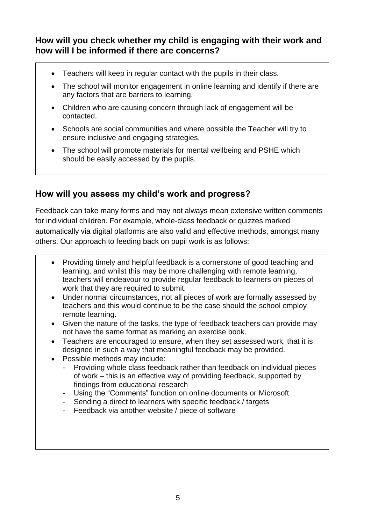### **How will you check whether my child is engaging with their work and how will I be informed if there are concerns?**

- Teachers will keep in regular contact with the pupils in their class.
- The school will monitor engagement in online learning and identify if there are any factors that are barriers to learning.
- Children who are causing concern through lack of engagement will be contacted.
- Schools are social communities and where possible the Teacher will try to ensure inclusive and engaging strategies.
- The school will promote materials for mental wellbeing and PSHE which should be easily accessed by the pupils.

## **How will you assess my child's work and progress?**

Feedback can take many forms and may not always mean extensive written comments for individual children. For example, whole-class feedback or quizzes marked automatically via digital platforms are also valid and effective methods, amongst many others. Our approach to feeding back on pupil work is as follows:

- Providing timely and helpful feedback is a cornerstone of good teaching and learning, and whilst this may be more challenging with remote learning, teachers will endeavour to provide regular feedback to learners on pieces of work that they are required to submit.
- Under normal circumstances, not all pieces of work are formally assessed by teachers and this would continue to be the case should the school employ remote learning.
- Given the nature of the tasks, the type of feedback teachers can provide may not have the same format as marking an exercise book.
- Teachers are encouraged to ensure, when they set assessed work, that it is designed in such a way that meaningful feedback may be provided.
- Possible methods may include:
	- Providing whole class feedback rather than feedback on individual pieces of work – this is an effective way of providing feedback, supported by findings from educational research
	- Using the "Comments" function on online documents or Microsoft
	- Sending a direct to learners with specific feedback / targets
	- Feedback via another website / piece of software